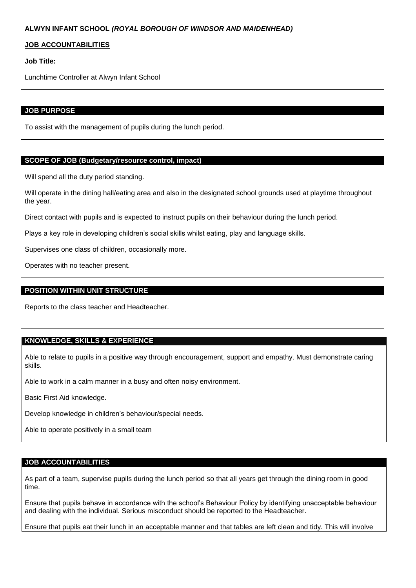## **JOB ACCOUNTABILITIES**

# **Job Title:**

Lunchtime Controller at Alwyn Infant School

### **JOB PURPOSE**

To assist with the management of pupils during the lunch period.

### **SCOPE OF JOB (Budgetary/resource control, impact)**

Will spend all the duty period standing.

Will operate in the dining hall/eating area and also in the designated school grounds used at playtime throughout the year.

Direct contact with pupils and is expected to instruct pupils on their behaviour during the lunch period.

Plays a key role in developing children's social skills whilst eating, play and language skills.

Supervises one class of children, occasionally more.

Operates with no teacher present.

## **POSITION WITHIN UNIT STRUCTURE**

Reports to the class teacher and Headteacher.

### **KNOWLEDGE, SKILLS & EXPERIENCE**

Able to relate to pupils in a positive way through encouragement, support and empathy. Must demonstrate caring skills.

Able to work in a calm manner in a busy and often noisy environment.

Basic First Aid knowledge.

Develop knowledge in children's behaviour/special needs.

Able to operate positively in a small team

## **JOB ACCOUNTABILITIES**

As part of a team, supervise pupils during the lunch period so that all years get through the dining room in good time.

Ensure that pupils behave in accordance with the school's Behaviour Policy by identifying unacceptable behaviour and dealing with the individual. Serious misconduct should be reported to the Headteacher.

Ensure that pupils eat their lunch in an acceptable manner and that tables are left clean and tidy. This will involve